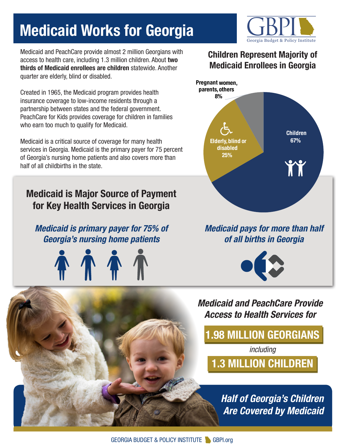# **Medicaid Works for Georgia**

Medicaid and PeachCare provide almost 2 million Georgians with access to health care, including 1.3 million children. About **two thirds of Medicaid enrollees are children** statewide. Another quarter are elderly, blind or disabled.

Created in 1965, the Medicaid program provides health insurance coverage to low-income residents through a partnership between states and the federal government. PeachCare for Kids provides coverage for children in families who earn too much to qualify for Medicaid.

Medicaid is a critical source of coverage for many health services in Georgia. Medicaid is the primary payer for 75 percent of Georgia's nursing home patients and also covers more than half of all childbirths in the state.

## **Medicaid is Major Source of Payment for Key Health Services in Georgia**

#### *Medicaid is primary payer for 75% of Georgia's nursing home patients*







#### *Medicaid and PeachCare Provide Access to Health Services for*

**1.98 MILLION GEORGIANS**

*including*

**1.3 MILLION CHILDREN**

*Half of Georgia's Children Are Covered by Medicaid*